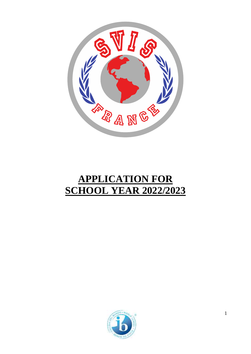

# **APPLICATION FOR SCHOOL YEAR 2022/2023**

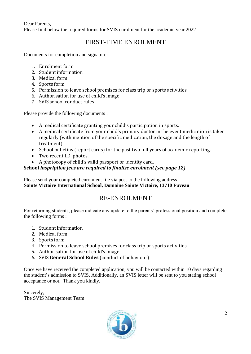Dear Parents, Please find below the required forms for SVIS enrolment for the academic year 2022

# FIRST-TIME ENROLMENT

Documents for completion and signature:

- 1. Enrolment form
- 2. Student information
- 3. Medical form
- 4. Sports form
- 5. Permission to leave school premises for class trip or sports activities
- 6. Authorisation for use of child's image
- 7. SVIS school conduct rules

Please provide the following documents :

- A medical certificate granting your child's participation in sports.
- A medical certificate from your child's primary doctor in the event medication is taken regularly (with mention of the specific medication, the dosage and the length of treatment)
- School bulletins (report cards) for the past two full years of academic reporting.
- Two recent I.D. photos.
- A photocopy of child's valid passport or identity card.

### **School** *inspription fees are required to finalise enrolment (see page 12)*

Please send your completed enrolment file via post to the following address : **Sainte Victoire International School, Domaine Sainte Victoire, 13710 Fuveau**

# RE-ENROLMENT

For returning students, please indicate any update to the parents' professional position and complete the following forms :

- 1. Student information
- 2. Medical form
- 3. Sports form
- 4. Permission to leave school premises for class trip or sports activities
- 5. Authorisation for use of child's image
- 6. SVIS **General School Rules** (conduct of behaviour)

Once we have received the completed application, you will be contacted within 10 days regarding the student's admission to SVIS. Additionally, an SVIS letter will be sent to you stating school acceptance or not. Thank you kindly.

Sincerely, The SVIS Management Team

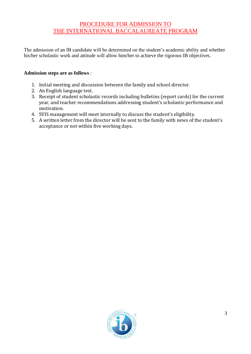## PROCEDURE FOR ADMISSION TO THE INTERNATIONAL BACCALAUREATE PROGRAM

The admission of an IB candidate will be determined on the student's academic ability and whether his/her scholastic work and attitude will allow him/her to achieve the rigorous IB objectives.

### **Admission steps are as follows** :

- 1. Initial meeting and discussion between the family and school director.
- 2. An English language test.
- 3. Receipt of student scholastic records including bulletins (report cards) for the current year, and teacher recommendations addressing student's scholastic performance and motivation.
- 4. SVIS management will meet internally to discuss the student's eligibility.
- 5. A written letter from the director will be sent to the family with news of the student's acceptance or not within five working days.

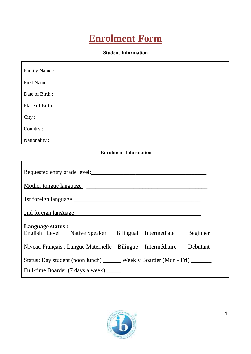# **Enrolment Form**

### **Student Information**

| Family Name:                                                                                   |
|------------------------------------------------------------------------------------------------|
| First Name:                                                                                    |
| Date of Birth:                                                                                 |
| Place of Birth:                                                                                |
| City:                                                                                          |
| Country:                                                                                       |
| Nationality:                                                                                   |
| <b>Enrolment Information</b>                                                                   |
| Requested entry grade level:                                                                   |
|                                                                                                |
| 1st foreign language                                                                           |
| 2nd foreign language                                                                           |
| <b>Language status:</b><br>English Level: Native Speaker Bilingual<br>Beginner<br>Intermediate |
| Niveau Français : Langue Maternelle Bilingue Intermédiaire<br>Débutant                         |
| Status: Day student (noon lunch) ______ Weekly Boarder (Mon - Fri) ______                      |
| Full-time Boarder (7 days a week) _____                                                        |

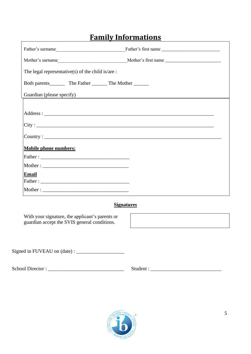# **Family Informations**

| The legal representative(s) of the child is/are :                                                |  |
|--------------------------------------------------------------------------------------------------|--|
|                                                                                                  |  |
| Guardian (please specify)<br><u> 1980 - Johann Stein, mars an deus Amerikaansk kommunister (</u> |  |
|                                                                                                  |  |
|                                                                                                  |  |
|                                                                                                  |  |
|                                                                                                  |  |
| <b>Mobile phone numbers:</b>                                                                     |  |
|                                                                                                  |  |
|                                                                                                  |  |
| <b>Email</b>                                                                                     |  |
|                                                                                                  |  |

### **Signatures**

With your signature, the applicant's parents or guardian accept the SVIS general conditions.

Signed in FUVEAU on (date) : \_\_\_\_\_\_\_\_\_\_\_\_\_\_\_\_\_\_\_

School Director : \_\_\_\_\_\_\_\_\_\_\_\_\_\_\_\_\_\_\_\_\_\_\_\_\_\_\_\_\_\_ Student : \_\_\_\_\_\_\_\_\_\_\_\_\_\_\_\_\_\_\_\_\_\_\_\_\_\_\_\_

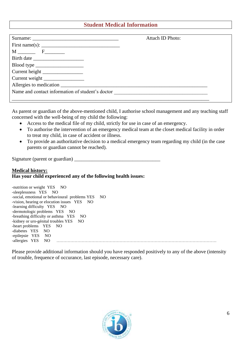### **Student Medical Information**

|                                                  | Attach ID Photo: |
|--------------------------------------------------|------------------|
| First name(s): $\qquad \qquad$                   |                  |
|                                                  |                  |
|                                                  |                  |
| $\text{ Blood type } \_\_\_\_\_\_\_\_\$          |                  |
|                                                  |                  |
| Current weight                                   |                  |
|                                                  |                  |
| Name and contact information of student's doctor |                  |
|                                                  |                  |

As parent or guardian of the above-mentioned child, I authorise school management and any teaching staff concerned with the well-being of my child the following:

- Access to the medical file of my child, strictly for use in case of an emergency.
- To authorise the intervention of an emergency medical team at the closet medical facility in order to treat my child, in case of accident or illness.
- To provide an authoritative decision to a medical emergency team regarding my child (in the case parents or guardian cannot be reached).

Signature (parent or guardian) \_\_\_\_\_\_\_\_\_\_\_\_\_\_\_\_\_\_\_\_\_\_\_\_\_\_\_\_\_\_\_\_\_\_

### **Medical history: Has your child experienced any of the following health issues:**

| -nutrition or weight YES NO                       |
|---------------------------------------------------|
| -sleeplessness YES NO                             |
| -social, emotional or behavioural problems YES NO |
| -vision, hearing or elocution issues YES NO       |
| -learning difficulty YES NO                       |
| -dermotologic problems YES NO                     |
| -breathing difficulty or asthma YES NO            |
| -kidney or uro-génital troubles YES NO            |
| -heart problems YES NO                            |
| -diabetes YES NO                                  |
| -epilepsie YES NO                                 |
| -allergies YES NO                                 |
|                                                   |

Please provide additional information should you have responded positively to any of the above (intensity of trouble, frequence of occurance, last episode, necessary care).

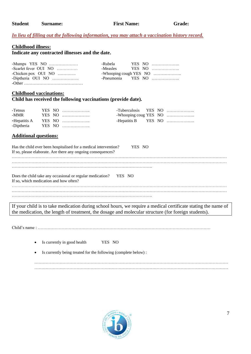#### *In lieu of filling out the following information, you may attach a vaccination history record.*

#### **Childhood illness:**

**Indicate any contracted illnesses and the date.**

| -Mumps YES $NO$       |  |                   |
|-----------------------|--|-------------------|
| -Scarlet fever OUI NO |  |                   |
| -Chicken pox OUI NO   |  |                   |
| -Diptheria OUI NO     |  | -Pneumonia YES NO |
|                       |  |                   |

#### **Childhood vaccinations: Child has received the following vaccinations (provide date).**

| -Tetnus |  |                   | -Tuberculosis YES NO |  |  |
|---------|--|-------------------|----------------------|--|--|
| -MMR    |  |                   |                      |  |  |
|         |  |                   | -Hepatitis B YES NO  |  |  |
|         |  | -Diptheria YES NO |                      |  |  |

#### **Additional questions:**

| Has the child ever been hospitalised for a medical intervention?<br>YES NO<br>If so, please elaborate. Are there any ongoing consequences? |  |
|--------------------------------------------------------------------------------------------------------------------------------------------|--|
|                                                                                                                                            |  |
|                                                                                                                                            |  |
| Does the child take any occasional or regular medication?<br>YES NO<br>If so, which medication and how often?                              |  |
|                                                                                                                                            |  |
|                                                                                                                                            |  |
|                                                                                                                                            |  |

If your child is to take medication during school hours, we require a medical certificate stating the name of the medication, the length of treatment, the dosage and molecular structure (for foreign students).

Child's name : ……………………………………………………………………………………………………………

• Is currently in good health YES NO

• Is currently being treated for the following (complete below) :

………………………………………………………………………………………………………………………… …………………………………………………………………………………………………………………………

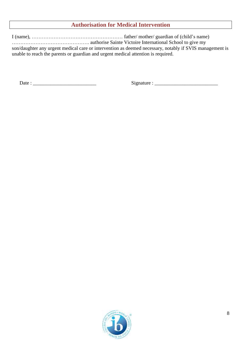### **Authorisation for Medical Intervention**

I (name), ……………………………………………… father/ mother/ guardian of (child's name) ………………………………………. authorise Sainte Victoire International School to give my son/daughter any urgent medical care or intervention as deemed necessary, notably if SVIS management is unable to reach the parents or guardian and urgent medical attention is required.

Date : \_\_\_\_\_\_\_\_\_\_\_\_\_\_\_\_\_\_\_\_\_\_\_\_\_ Signature : \_\_\_\_\_\_\_\_\_\_\_\_\_\_\_\_\_\_\_\_\_\_\_\_\_

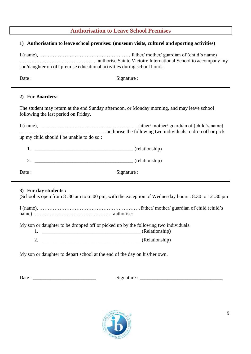### **Authorisation to Leave School Premises**

### **1) Authorisation to leave school premises: (museum visits, culturel and sporting activities)**

I (name), ……………………………………………… father/ mother/ guardian of (child's name) ………………………………………. authorise Sainte Victoire International School to accompany my son/daughter on off-premise educational activities during school hours.

Date : Signature :

### **2) For Boarders:**

The student may return at the end Sunday afternoon, or Monday morning, and may leave school following the last period on Friday.

I (name), …………………………………….…………….father/ mother/ guardian of (child's name) …………………………………………….authorise the following two individuals to drop off or pick up my child should I be unable to do so :

|             | (relationship) |
|-------------|----------------|
|             | (relationship) |
| Signature : |                |

### **3) For day students :**

(School is open from 8 :30 am to 6 :00 pm, with the exception of Wednesday hours : 8:30 to 12 :30 pm

I (name), ……………………………………………………father/ mother/ guardian of child (child's name) ……………………………………… authorise:

My son or daughter to be dropped off or picked up by the following two individuals.

|  | $(Relationship^{\circ})$ |
|--|--------------------------|
|  |                          |

|  |  | (Relationship) |
|--|--|----------------|
|--|--|----------------|

My son or daughter to depart school at the end of the day on his/her own.

Date :  $\Box$ 

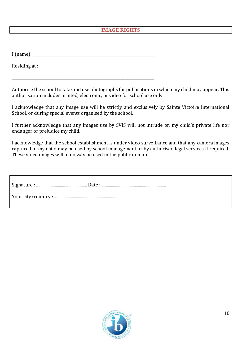### **IMAGE RIGHTS**

 $I$  (name):

Residing at :

\_\_\_\_\_\_\_\_\_\_\_\_\_\_\_\_\_\_\_\_\_\_\_\_\_\_\_\_\_\_\_\_\_\_\_\_\_\_\_\_\_\_\_\_\_\_\_\_\_\_\_\_\_\_\_\_\_\_\_\_\_\_\_\_\_\_\_\_\_\_\_\_\_\_\_\_

Authorise the school to take and use photographs for publications in which my child may appear. This authorisation includes printed, electronic, or video for school use only.

I acknowledge that any image use will be strictly and exclusively by Sainte Victoire International School, or during special events organised by the school.

I further acknowledge that any images use by SVIS will not intrude on my child's private life nor endanger or prejudice my child.

I acknowledge that the school establishment is under video surveillance and that any camera images captured of my child may be used by school management or by authorised legal services if required. These video images will in no way be used in the public domain.

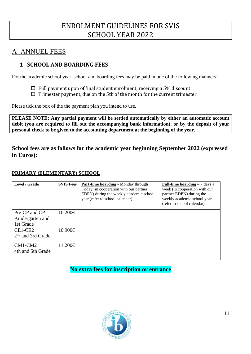# ENROLMENT GUIDELINES FOR SVIS SCHOOL YEAR 2022

# A- ANNUEL FEES

# **1- SCHOOL AND BOARDING FEES**

For the academic school year, school and boarding fees may be paid in one of the following manners:

- $\Box$  Full payment upon of final student enrolment, receiving a 5% discount
- $\Box$  Trimester payment, due on the 5th of the month for the current trimester

Please tick the box of the the payment plan you intend to use.

**PLEASE NOTE: Any partial payment will be settled automatically by either an automatic account debit (you are required to fill out the accompanying bank information), or by the deposit of your personal check to be given to the accounting department at the beginning of the year.**

**School fees are as follows for the academic year beginning September 2022 (expressed in Euros):**

### **PRIMARY (ELEMENTARY) SCHOOL**

| Level / Grade                                  | <b>SVIS Fees</b> | Part-time boarding - Monday through<br>Friday (in cooperation with our partner<br>EDEN) during the weekly academic school<br>year (refer to school calendar) | <b>Full-time boarding - 7 days a</b><br>week (in cooperation with our<br>partner EDEN) during the<br>weekly academic school year<br>(refer to school calendar) |
|------------------------------------------------|------------------|--------------------------------------------------------------------------------------------------------------------------------------------------------------|----------------------------------------------------------------------------------------------------------------------------------------------------------------|
| Pre-CP and CP<br>Kindergarten and<br>1st Grade | 10,200€          |                                                                                                                                                              |                                                                                                                                                                |
| CE1-CE2<br>$2nd$ and 3rd Grade                 | 10,900€          |                                                                                                                                                              |                                                                                                                                                                |
| CM1-CM2<br>4th and 5th Grade                   | 11,200€          |                                                                                                                                                              |                                                                                                                                                                |

### **No extra fees for inscription or entrance**

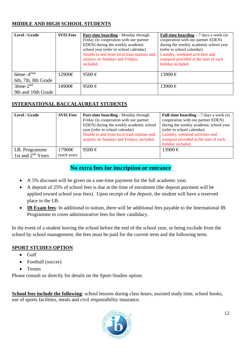### **MIDDLE AND HIGH SCHOOL STUDENTS**

| Level / Grade                                      | <b>SVIS Fees</b> | <b>Part-time boarding - Monday through</b><br>Friday (in cooperation with our partner<br>EDEN) during the weekly academic<br>school year (refer to school calendar)<br>Shuttle to and from local train-stations and<br>airports on Sundays and Fridays,<br>included. | <b>Full-time boarding</b> $-7$ days a week (in<br>cooperation with our partner EDEN)<br>during the weekly academic school year<br>(refer to school calendar)<br>Laundry, weekend activities and<br>transport provided at the start of each<br>holiday included. |
|----------------------------------------------------|------------------|----------------------------------------------------------------------------------------------------------------------------------------------------------------------------------------------------------------------------------------------------------------------|-----------------------------------------------------------------------------------------------------------------------------------------------------------------------------------------------------------------------------------------------------------------|
| $6$ ème $-4$ <sup>ème</sup><br>6th, 7th, 8th Grade | 12900€           | 9500€                                                                                                                                                                                                                                                                | $13900 \in$                                                                                                                                                                                                                                                     |
| $3\text{ème-}2^{\text{nd}}$<br>9th and 10th Grade  | 14900€           | 9500€                                                                                                                                                                                                                                                                | $13900 \in$                                                                                                                                                                                                                                                     |

### **INTERNATIONAL BACCALAUREAT STUDENTS**

|        | Friday (in cooperation with our partner<br>EDEN) during the weekly academic school<br>year (refer to school calendar)<br>Shuttle to and from local train-stations and<br>airports on Sundays and Fridays, included. | cooperation with our partner EDEN)<br>during the weekly academic school year<br>(refer to school calendar)<br>Laundry, weekend activities and<br>transport provided at the start of each<br>holiday included. |
|--------|---------------------------------------------------------------------------------------------------------------------------------------------------------------------------------------------------------------------|---------------------------------------------------------------------------------------------------------------------------------------------------------------------------------------------------------------|
| 17900€ | 9500 $\epsilon$                                                                                                                                                                                                     | 13900 €                                                                                                                                                                                                       |
|        | (each year)                                                                                                                                                                                                         |                                                                                                                                                                                                               |

## **No extra fees for inscription or entrance**

- A 5% discount will be given on a one-time payment for the full academic year.
- A deposit of 25% of school fees is due at the time of enrolment (the deposit payment will be applied toward school year fees). Upon receipt of the deposit, the student will have a reserved place in the I.B.
- **IB Exam fees**: In additional to tuition, there will be additional fees payable to the International IB Programme to cover administrative fees for their candidacy.

In the event of a student leaving the school before the end of the school year, or being exclude from the school by school management, the fees must be paid for the current term and the following term.

### **SPORT STUDIES OPTION**

- Golf
- Football (soccer)
- Tennis

Please consult us directly for details on the Sport-Studies option.

**School fees include the following**: school lessons during class hours, assisted study time, school books, use of sports facilities, meals and civil responsibility insurance.

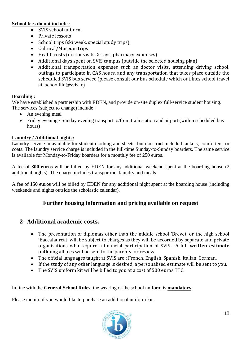### **School fees do not include** :

- SVIS school uniform
- Private lessons
- School trips (ski week, special study trips).
- Cultural/Museum trips
- Health costs (doctor visits, X-rays, pharmacy expenses)
- Additional days spent on SVIS campus (outside the selected housing plan)
- Additional transportation expenses such as doctor visits, attending driving school, outings to participate in CAS hours, and any transportation that takes place outside the scheduled SVIS bus service (please consult our bus schedule which outlines school travel at schoollife@svis.fr)

### **Boarding :**

We have established a partnership with EDEN, and provide on-site duplex full-service student housing. The services (subject to change) include :

- An evening meal
- Friday evening / Sunday evening transport to/from train station and airport (within scheduled bus hours)

### **Laundry / Additional nights:**

Laundry service in available for student clothing and sheets, but does **not** include blankets, comforters, or coats. The laundry service charge is included in the full-time Sunday-to-Sunday boarders. The same service is available for Monday-to-Friday boarders for a monthly fee of 250 euros.

A fee of **300 euros** will be billed by EDEN for any additional weekend spent at the boarding house (2 additional nights). The charge includes transportion, laundry and meals.

A fee of **150 euros** will be billed by EDEN for any additional night spent at the boarding house (including weekends and nights outside the scholastic calendar).

### **Further housing information and pricing available on request**

### **2- Additional academic costs.**

- The presentation of diplomas other than the middle school 'Brevet' or the high school 'Baccalaureat' will be subject to charges as they will be accorded by separate and private organisations who require a financial participation of SVIS. A full **written estimate** outlining all fees will be sent to the parents for review.
- The official languages taught at SVIS are : French, English, Spanish, Italian, German.
- If the study of any other language is desired, a personalised estimate will be sent to you.
- The SVIS uniform kit will be billed to you at a cost of 500 euros TTC.

In line with the **General School Rules**, the wearing of the school uniform is **mandatory**.

Please inquire if you would like to purchase an additional uniform kit.

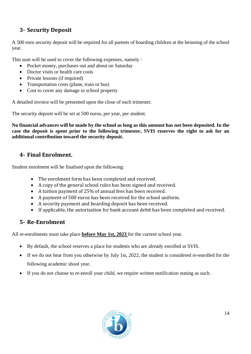# **3- Security Deposit**

A 500 euro security deposit will be required for all parents of boarding children at the beinning of the school year.

This sum will be used to cover the following expenses, namely :

- Pocket money, purchases out and about on Saturday
- Doctor visits or health care costs
- Private lessons (if required)
- Transportation costs (plane, train or bus)
- Cost to cover any damage to school property

A detailed invoice will be presented upon the close of each trimester.

The security deposit will be set at 500 euros, per year, per student.

**No financial advances will be made by the school as long as this amount has not been deposited. In the case the deposit is spent prior to the following trimester, SVIS reserves the right to ask for an additional contribution toward the security deposit.** 

# **4- Final Enrolment.**

Student enrolment will be finalised upon the following:

- The enrolment form has been completed and received.
- A copy of the general school rules has been signed and received.
- A tuition payment of 25% of annual fees has been received.
- A payment of 500 euros has been received for the school uniform.
- A security payment and boarding deposit has been received.
- If applicable, the autorisation for bank account debit has been completed and received.

# **5- Re-Enrolment**

All re-enrolments must take place **before May 1st, 2023** for the current school year.

- By default, the school reserves a place for students who are already enrolled at SVIS.
- If we do not hear from you otherwise by July 1st, 2022, the student is considered re-enrolled for the following academic shool year.
- If you do not choose to re-enroll your child, we require written notification stating as such.

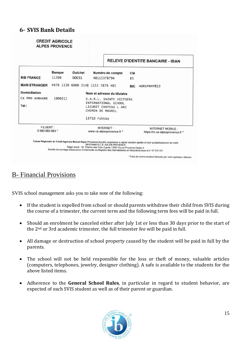### **6- SVIS Bank Details**



# B- Financial Provisions

SVIS school management asks you to take note of the following:

- If the student is expelled from school or should parents withdraw their child from SVIS during the course of a trimester, the current term and the following term fees will be paid in full.
- Should an enrolment be canceled either after July 1st or less than 30 days prior to the start of the 2nd or 3rd academic trimester, the full trimester fee will be paid in full.
- All damage or destruction of school property caused by the student will be paid in full by the parents.
- The school will not be held responsible for the loss or theft of money, valuable articles (computers, telephones, jewelry, designer clothing). A safe is available to the students for the above listed items.
- Adherence to the **General School Rules**, in particular in regard to student behavior, are expected of each SVIS student as well as of their parent or guardian.